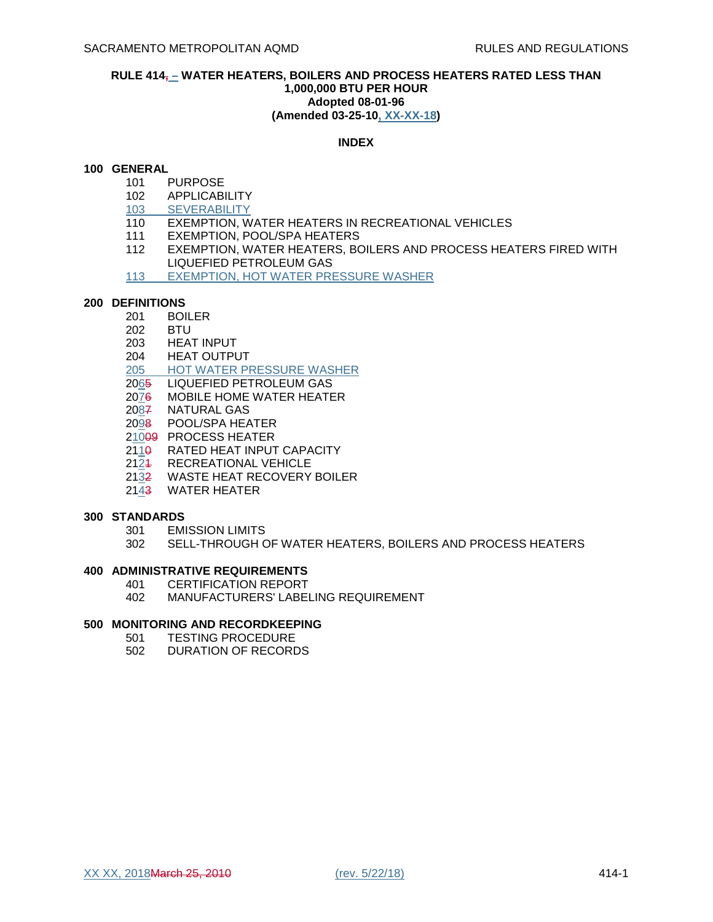### **RULE 414, – WATER HEATERS, BOILERS AND PROCESS HEATERS RATED LESS THAN 1,000,000 BTU PER HOUR Adopted 08-01-96 (Amended 03-25-10, XX-XX-18)**

# **INDEX**

### **100 GENERAL**

- 101 PURPOSE
- 102 APPLICABILITY
- 103 SEVERABILITY
- 110 EXEMPTION, WATER HEATERS IN RECREATIONAL VEHICLES
- 111 EXEMPTION, POOL/SPA HEATERS
- 112 EXEMPTION, WATER HEATERS, BOILERS AND PROCESS HEATERS FIRED WITH LIQUEFIED PETROLEUM GAS
- 113 EXEMPTION, HOT WATER PRESSURE WASHER

# **200 DEFINITIONS**

- 201 BOILER
- 202 BTU
- 203 HEAT INPUT
- 204 HEAT OUTPUT

205 HOT WATER PRESSURE WASHER

2065 LIQUEFIED PETROLEUM GAS

- 2076 MOBILE HOME WATER HEATER
- 2087 NATURAL GAS
- 2098 POOL/SPA HEATER
- 21009 PROCESS HEATER
- 2110 RATED HEAT INPUT CAPACITY
- 2124 RECREATIONAL VEHICLE
- 2132 WASTE HEAT RECOVERY BOILER
- 2143 WATER HEATER

### **300 STANDARDS**

- 301 EMISSION LIMITS
- 302 SELL-THROUGH OF WATER HEATERS, BOILERS AND PROCESS HEATERS

## **400 ADMINISTRATIVE REQUIREMENTS**

- 401 CERTIFICATION REPORT
- 402 MANUFACTURERS' LABELING REQUIREMENT

# **500 MONITORING AND RECORDKEEPING**

- 501 TESTING PROCEDURE
- 502 DURATION OF RECORDS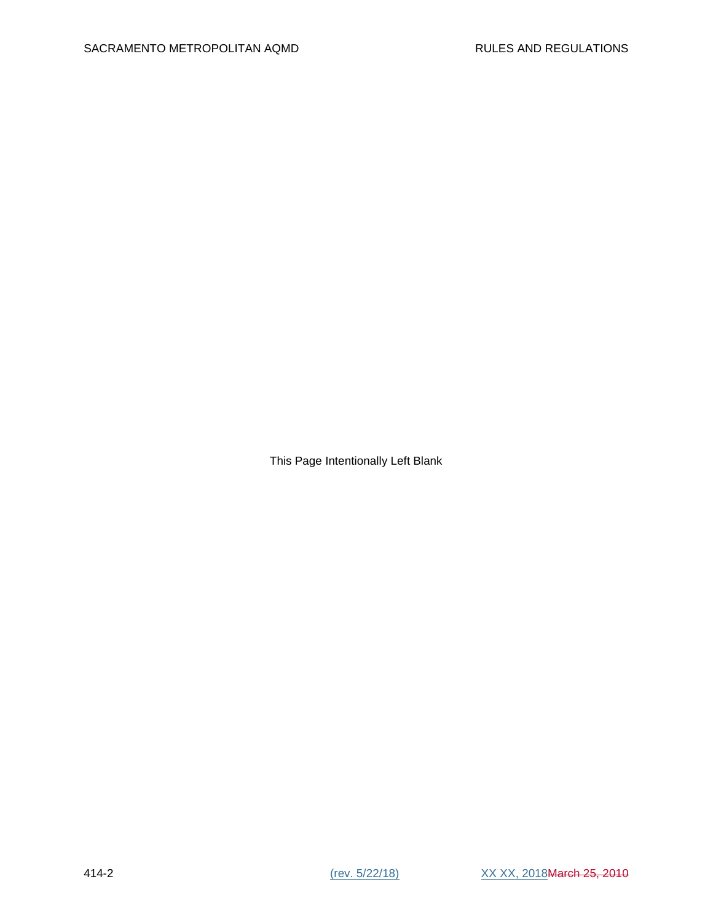This Page Intentionally Left Blank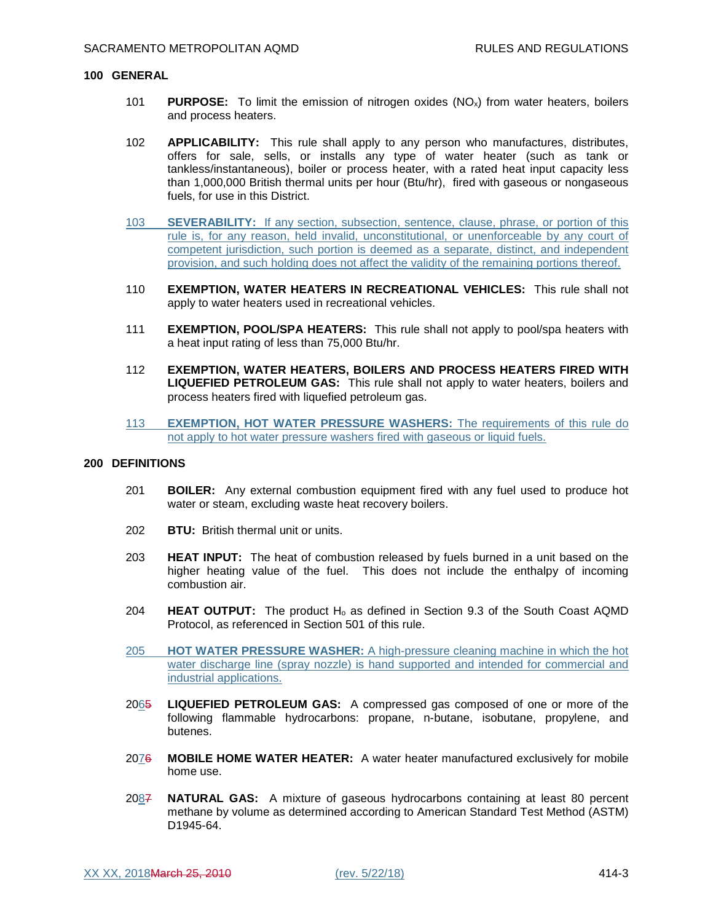#### **100 GENERAL**

- 101 **PURPOSE:** To limit the emission of nitrogen oxides (NOx) from water heaters, boilers and process heaters.
- 102 **APPLICABILITY:** This rule shall apply to any person who manufactures, distributes, offers for sale, sells, or installs any type of water heater (such as tank or tankless/instantaneous), boiler or process heater, with a rated heat input capacity less than 1,000,000 British thermal units per hour (Btu/hr), fired with gaseous or nongaseous fuels, for use in this District.
- 103 **SEVERABILITY:** If any section, subsection, sentence, clause, phrase, or portion of this rule is, for any reason, held invalid, unconstitutional, or unenforceable by any court of competent jurisdiction, such portion is deemed as a separate, distinct, and independent provision, and such holding does not affect the validity of the remaining portions thereof.
- 110 **EXEMPTION, WATER HEATERS IN RECREATIONAL VEHICLES:** This rule shall not apply to water heaters used in recreational vehicles.
- 111 **EXEMPTION, POOL/SPA HEATERS:** This rule shall not apply to pool/spa heaters with a heat input rating of less than 75,000 Btu/hr.
- 112 **EXEMPTION, WATER HEATERS, BOILERS AND PROCESS HEATERS FIRED WITH LIQUEFIED PETROLEUM GAS:** This rule shall not apply to water heaters, boilers and process heaters fired with liquefied petroleum gas.
- 113 **EXEMPTION, HOT WATER PRESSURE WASHERS:** The requirements of this rule do not apply to hot water pressure washers fired with gaseous or liquid fuels.

### **200 DEFINITIONS**

- 201 **BOILER:** Any external combustion equipment fired with any fuel used to produce hot water or steam, excluding waste heat recovery boilers.
- 202 **BTU:** British thermal unit or units.
- 203 **HEAT INPUT:** The heat of combustion released by fuels burned in a unit based on the higher heating value of the fuel. This does not include the enthalpy of incoming combustion air.
- 204 **HEAT OUTPUT:** The product H<sup>o</sup> as defined in Section 9.3 of the South Coast AQMD Protocol, as referenced in Section 501 of this rule.
- 205 **HOT WATER PRESSURE WASHER:** A high-pressure cleaning machine in which the hot water discharge line (spray nozzle) is hand supported and intended for commercial and industrial applications.
- 2065 **LIQUEFIED PETROLEUM GAS:** A compressed gas composed of one or more of the following flammable hydrocarbons: propane, n-butane, isobutane, propylene, and butenes.
- 2076 **MOBILE HOME WATER HEATER:** A water heater manufactured exclusively for mobile home use.
- 2087 **NATURAL GAS:** A mixture of gaseous hydrocarbons containing at least 80 percent methane by volume as determined according to American Standard Test Method (ASTM) D1945-64.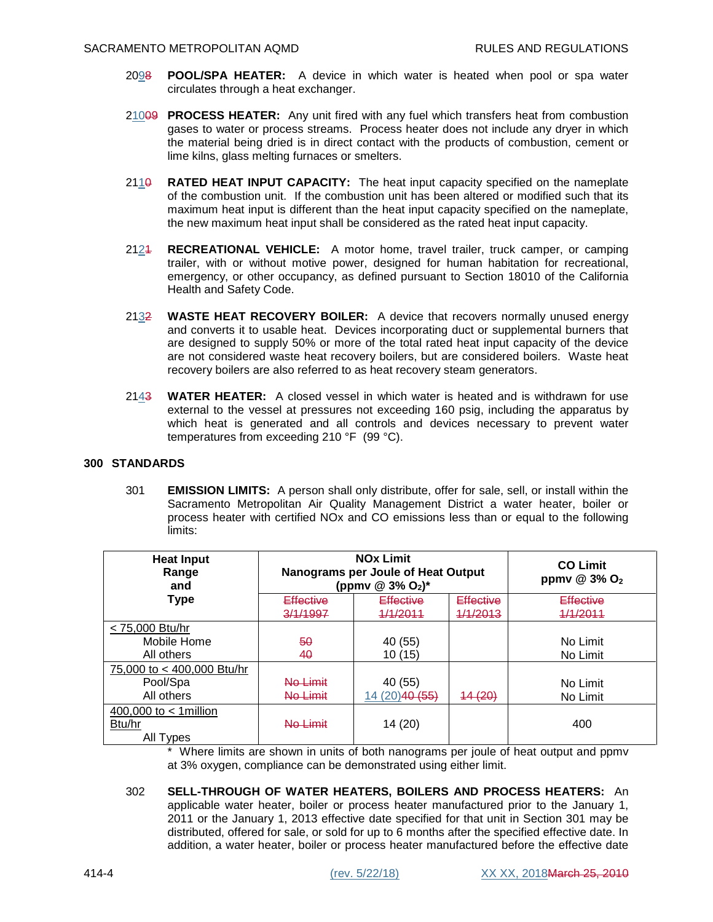- 2098 **POOL/SPA HEATER:** A device in which water is heated when pool or spa water circulates through a heat exchanger.
- 21009 **PROCESS HEATER:** Any unit fired with any fuel which transfers heat from combustion gases to water or process streams. Process heater does not include any dryer in which the material being dried is in direct contact with the products of combustion, cement or lime kilns, glass melting furnaces or smelters.
- 2110 **RATED HEAT INPUT CAPACITY:** The heat input capacity specified on the nameplate of the combustion unit. If the combustion unit has been altered or modified such that its maximum heat input is different than the heat input capacity specified on the nameplate, the new maximum heat input shall be considered as the rated heat input capacity.
- 2121 **RECREATIONAL VEHICLE:** A motor home, travel trailer, truck camper, or camping trailer, with or without motive power, designed for human habitation for recreational, emergency, or other occupancy, as defined pursuant to Section 18010 of the California Health and Safety Code.
- 2132 **WASTE HEAT RECOVERY BOILER:** A device that recovers normally unused energy and converts it to usable heat. Devices incorporating duct or supplemental burners that are designed to supply 50% or more of the total rated heat input capacity of the device are not considered waste heat recovery boilers, but are considered boilers. Waste heat recovery boilers are also referred to as heat recovery steam generators.
- 2143 **WATER HEATER:** A closed vessel in which water is heated and is withdrawn for use external to the vessel at pressures not exceeding 160 psig, including the apparatus by which heat is generated and all controls and devices necessary to prevent water temperatures from exceeding 210 °F (99 °C).

### **300 STANDARDS**

301 **EMISSION LIMITS:** A person shall only distribute, offer for sale, sell, or install within the Sacramento Metropolitan Air Quality Management District a water heater, boiler or process heater with certified NOx and CO emissions less than or equal to the following limits:

| <b>Heat Input</b><br>Range<br>and | <b>NO<sub>x</sub></b> Limit<br>Nanograms per Joule of Heat Output<br>(ppmv @ 3% O <sub>2</sub> )* |               |                  | <b>CO Limit</b><br>ppmv $@3\%$ O <sub>2</sub> |
|-----------------------------------|---------------------------------------------------------------------------------------------------|---------------|------------------|-----------------------------------------------|
| <b>Type</b>                       | <b>Effective</b>                                                                                  | Effective     | <b>Effective</b> | <b>Effective</b>                              |
|                                   | 3/1/1997                                                                                          | 4/4/2011      | 4/4/2013         | 4/4/2011                                      |
| < 75,000 Btu/hr                   |                                                                                                   |               |                  |                                               |
| Mobile Home                       | 50                                                                                                | 40 (55)       |                  | No Limit                                      |
| All others                        | 40                                                                                                | 10 (15)       |                  | No Limit                                      |
| 75,000 to < 400,000 Btu/hr        |                                                                                                   |               |                  |                                               |
| Pool/Spa                          | No Limit                                                                                          | 40 (55)       |                  | No Limit                                      |
| All others                        | No Limit                                                                                          | 4 (20)40 (55) | 44(20)           | No Limit                                      |
| 400,000 to $<$ 1 million          |                                                                                                   |               |                  |                                               |
| Btu/hr                            | No Limit                                                                                          | 14 (20)       |                  | 400                                           |
| All Types                         |                                                                                                   |               |                  |                                               |

\* Where limits are shown in units of both nanograms per joule of heat output and ppmv at 3% oxygen, compliance can be demonstrated using either limit.

302 **SELL-THROUGH OF WATER HEATERS, BOILERS AND PROCESS HEATERS:** An applicable water heater, boiler or process heater manufactured prior to the January 1, 2011 or the January 1, 2013 effective date specified for that unit in Section 301 may be distributed, offered for sale, or sold for up to 6 months after the specified effective date. In addition, a water heater, boiler or process heater manufactured before the effective date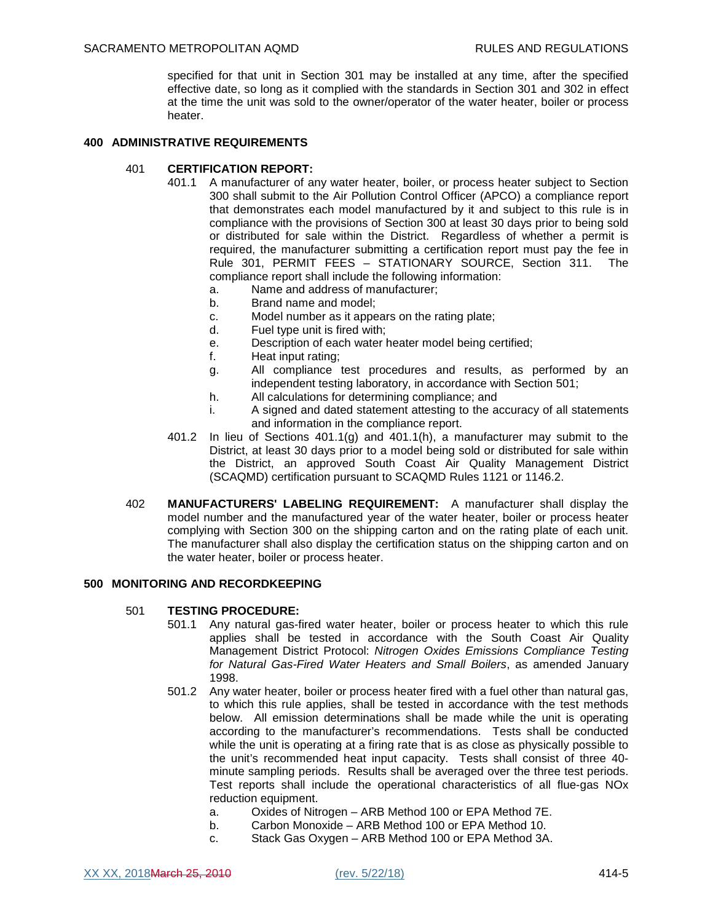specified for that unit in Section 301 may be installed at any time, after the specified effective date, so long as it complied with the standards in Section 301 and 302 in effect at the time the unit was sold to the owner/operator of the water heater, boiler or process heater.

# **400 ADMINISTRATIVE REQUIREMENTS**

## 401 **CERTIFICATION REPORT:**

- 401.1 A manufacturer of any water heater, boiler, or process heater subject to Section 300 shall submit to the Air Pollution Control Officer (APCO) a compliance report that demonstrates each model manufactured by it and subject to this rule is in compliance with the provisions of Section 300 at least 30 days prior to being sold or distributed for sale within the District. Regardless of whether a permit is required, the manufacturer submitting a certification report must pay the fee in Rule 301, PERMIT FEES – STATIONARY SOURCE, Section 311. The compliance report shall include the following information:
	- a. Name and address of manufacturer;
	- b. Brand name and model;
	- c. Model number as it appears on the rating plate;
	- d. Fuel type unit is fired with;
	- e. Description of each water heater model being certified;
	- f. Heat input rating;
	- g. All compliance test procedures and results, as performed by an independent testing laboratory, in accordance with Section 501;
	- h. All calculations for determining compliance; and
	- i. A signed and dated statement attesting to the accuracy of all statements and information in the compliance report.
- 401.2 In lieu of Sections 401.1(g) and 401.1(h), a manufacturer may submit to the District, at least 30 days prior to a model being sold or distributed for sale within the District, an approved South Coast Air Quality Management District (SCAQMD) certification pursuant to SCAQMD Rules 1121 or 1146.2.
- 402 **MANUFACTURERS' LABELING REQUIREMENT:** A manufacturer shall display the model number and the manufactured year of the water heater, boiler or process heater complying with Section 300 on the shipping carton and on the rating plate of each unit. The manufacturer shall also display the certification status on the shipping carton and on the water heater, boiler or process heater.

### **500 MONITORING AND RECORDKEEPING**

## 501 **TESTING PROCEDURE:**

- 501.1 Any natural gas-fired water heater, boiler or process heater to which this rule applies shall be tested in accordance with the South Coast Air Quality Management District Protocol: *Nitrogen Oxides Emissions Compliance Testing for Natural Gas-Fired Water Heaters and Small Boilers*, as amended January 1998.
- 501.2 Any water heater, boiler or process heater fired with a fuel other than natural gas, to which this rule applies, shall be tested in accordance with the test methods below. All emission determinations shall be made while the unit is operating according to the manufacturer's recommendations. Tests shall be conducted while the unit is operating at a firing rate that is as close as physically possible to the unit's recommended heat input capacity. Tests shall consist of three 40 minute sampling periods. Results shall be averaged over the three test periods. Test reports shall include the operational characteristics of all flue-gas NOx reduction equipment.
	- a. Oxides of Nitrogen ARB Method 100 or EPA Method 7E.
	- b. Carbon Monoxide ARB Method 100 or EPA Method 10.
	- c. Stack Gas Oxygen ARB Method 100 or EPA Method 3A.